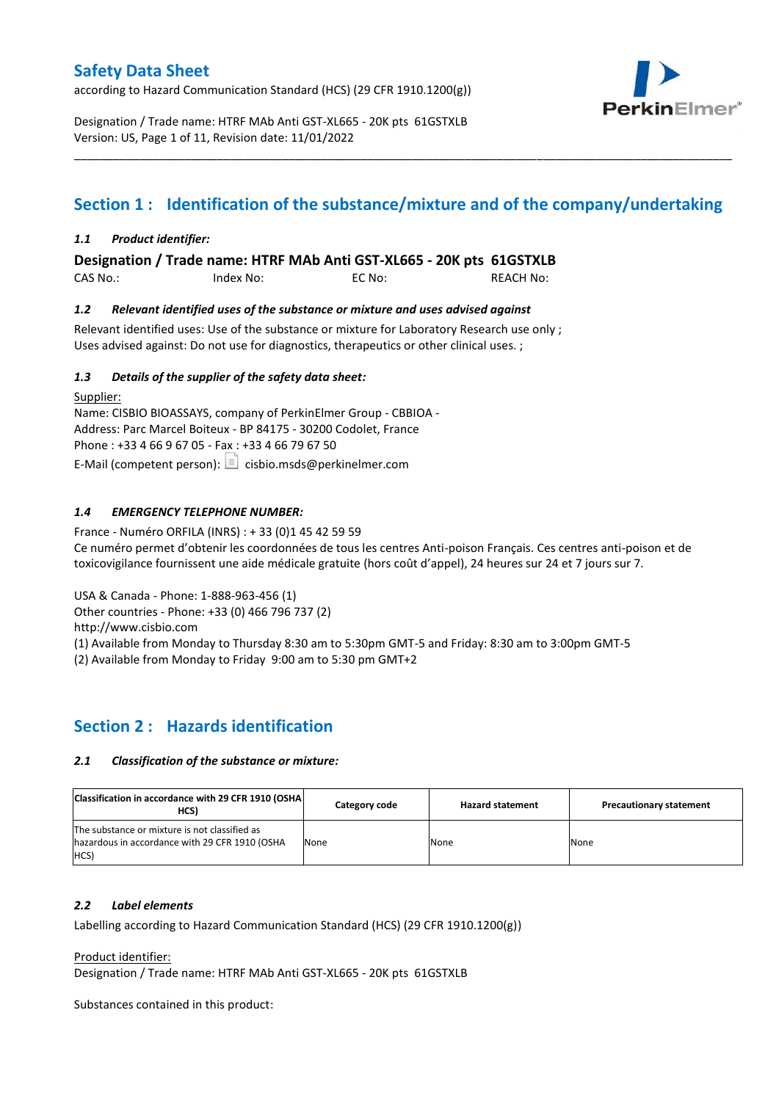according to Hazard Communication Standard (HCS) (29 CFR 1910.1200(g))



Designation / Trade name: HTRF MAb Anti GST-XL665 - 20K pts 61GSTXLB Version: US, Page 1 of 11, Revision date: 11/01/2022

# **Section 1 : Identification of the substance/mixture and of the company/undertaking**

\_\_\_\_\_\_\_\_\_\_\_\_\_\_\_\_\_\_\_\_\_\_\_\_\_\_\_\_\_\_\_\_\_\_\_\_\_\_\_\_\_\_\_\_\_\_\_\_\_\_\_\_\_\_\_\_\_\_\_\_\_\_\_\_\_\_\_\_\_\_\_\_\_\_\_\_\_\_\_\_\_\_\_\_\_\_\_\_\_\_\_\_\_\_\_\_\_\_\_\_\_

### *1.1 Product identifier:*

**Designation / Trade name: HTRF MAb Anti GST-XL665 - 20K pts 61GSTXLB** 

CAS No.: Index No: EC No: REACH No:

#### *1.2 Relevant identified uses of the substance or mixture and uses advised against*

Relevant identified uses: Use of the substance or mixture for Laboratory Research use only ; Uses advised against: Do not use for diagnostics, therapeutics or other clinical uses. ;

#### *1.3 Details of the supplier of the safety data sheet:*

Supplier: Name: CISBIO BIOASSAYS, company of PerkinElmer Group - CBBIOA - Address: Parc Marcel Boiteux - BP 84175 - 30200 Codolet, France Phone : +33 4 66 9 67 05 - Fax : +33 4 66 79 67 50 E-Mail (competent person):  $\boxed{\equiv}$  cisbio.msds@perkinelmer.com

### *1.4 EMERGENCY TELEPHONE NUMBER:*

France - Numéro ORFILA (INRS) : + 33 (0)1 45 42 59 59 Ce numéro permet d'obtenir les coordonnées de tous les centres Anti-poison Français. Ces centres anti-poison et de toxicovigilance fournissent une aide médicale gratuite (hors coût d'appel), 24 heures sur 24 et 7 jours sur 7.

USA & Canada - Phone: 1-888-963-456 (1)

Other countries - Phone: +33 (0) 466 796 737 (2)

http://www.cisbio.com

(1) Available from Monday to Thursday 8:30 am to 5:30pm GMT-5 and Friday: 8:30 am to 3:00pm GMT-5

(2) Available from Monday to Friday 9:00 am to 5:30 pm GMT+2

### **Section 2 : Hazards identification**

#### *2.1 Classification of the substance or mixture:*

| Classification in accordance with 29 CFR 1910 (OSHA)<br>HCS)                                            | Category code | <b>Hazard statement</b> | <b>Precautionary statement</b> |
|---------------------------------------------------------------------------------------------------------|---------------|-------------------------|--------------------------------|
| The substance or mixture is not classified as<br>hazardous in accordance with 29 CFR 1910 (OSHA<br>HCS) | None          | None                    | None                           |

#### *2.2 Label elements*

Labelling according to Hazard Communication Standard (HCS) (29 CFR 1910.1200(g))

Product identifier:

Designation / Trade name: HTRF MAb Anti GST-XL665 - 20K pts 61GSTXLB

Substances contained in this product: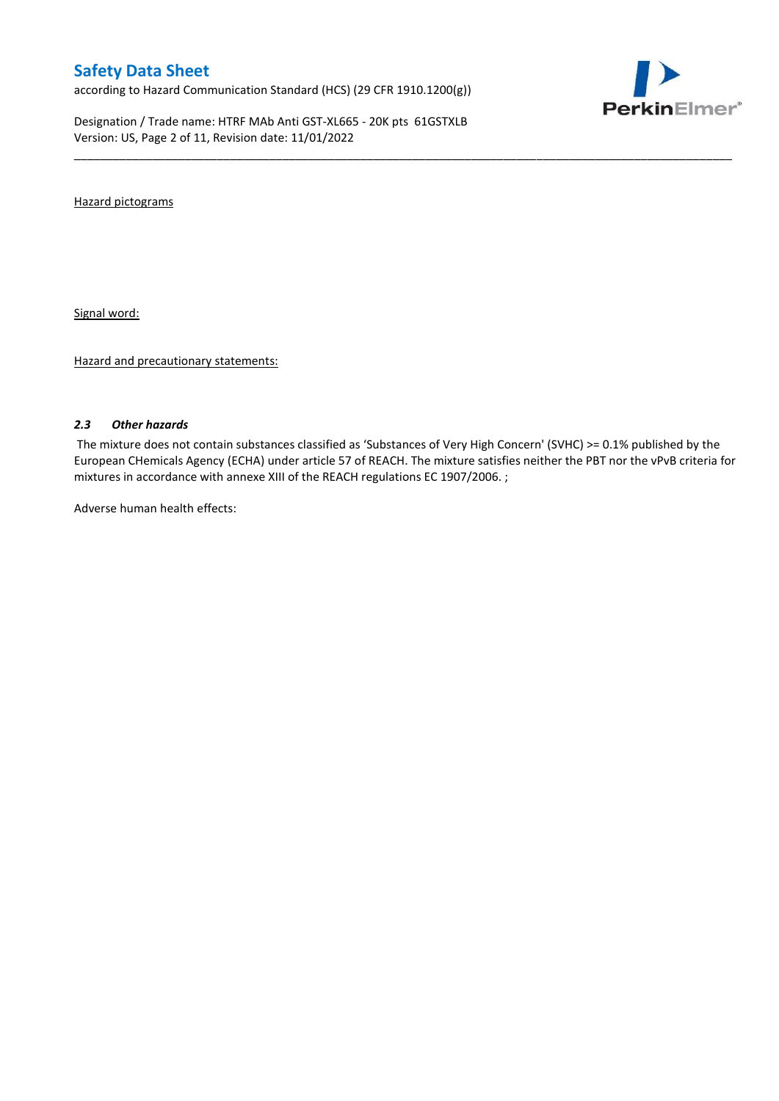according to Hazard Communication Standard (HCS) (29 CFR 1910.1200(g))

Designation / Trade name: HTRF MAb Anti GST-XL665 - 20K pts 61GSTXLB Version: US, Page 2 of 11, Revision date: 11/01/2022



Hazard pictograms

Signal word:

Hazard and precautionary statements:

#### *2.3 Other hazards*

The mixture does not contain substances classified as 'Substances of Very High Concern' (SVHC) >= 0.1% published by the European CHemicals Agency (ECHA) under article 57 of REACH. The mixture satisfies neither the PBT nor the vPvB criteria for mixtures in accordance with annexe XIII of the REACH regulations EC 1907/2006. ;

\_\_\_\_\_\_\_\_\_\_\_\_\_\_\_\_\_\_\_\_\_\_\_\_\_\_\_\_\_\_\_\_\_\_\_\_\_\_\_\_\_\_\_\_\_\_\_\_\_\_\_\_\_\_\_\_\_\_\_\_\_\_\_\_\_\_\_\_\_\_\_\_\_\_\_\_\_\_\_\_\_\_\_\_\_\_\_\_\_\_\_\_\_\_\_\_\_\_\_\_\_

Adverse human health effects: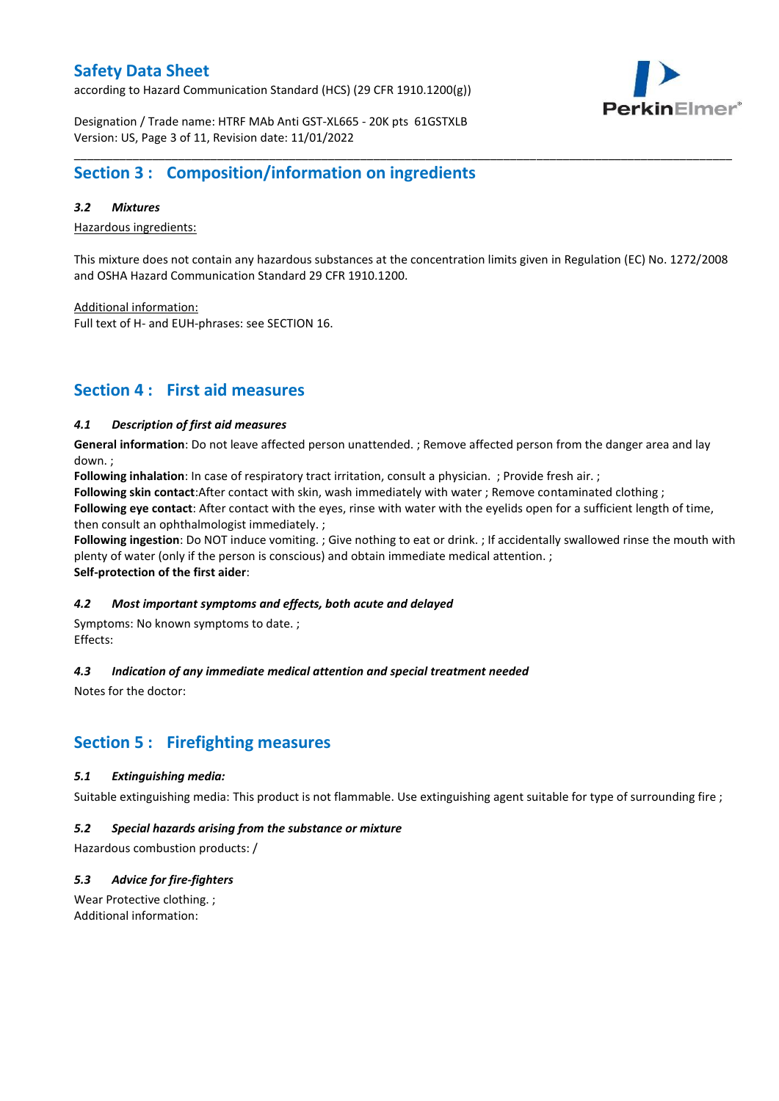according to Hazard Communication Standard (HCS) (29 CFR 1910.1200(g))



Designation / Trade name: HTRF MAb Anti GST-XL665 - 20K pts 61GSTXLB Version: US, Page 3 of 11, Revision date: 11/01/2022

## **Section 3 : Composition/information on ingredients**

#### *3.2 Mixtures*

Hazardous ingredients:

This mixture does not contain any hazardous substances at the concentration limits given in Regulation (EC) No. 1272/2008 and OSHA Hazard Communication Standard 29 CFR 1910.1200.

\_\_\_\_\_\_\_\_\_\_\_\_\_\_\_\_\_\_\_\_\_\_\_\_\_\_\_\_\_\_\_\_\_\_\_\_\_\_\_\_\_\_\_\_\_\_\_\_\_\_\_\_\_\_\_\_\_\_\_\_\_\_\_\_\_\_\_\_\_\_\_\_\_\_\_\_\_\_\_\_\_\_\_\_\_\_\_\_\_\_\_\_\_\_\_\_\_\_\_\_\_

Additional information:

Full text of H- and EUH-phrases: see SECTION 16.

### **Section 4 : First aid measures**

#### *4.1 Description of first aid measures*

**General information**: Do not leave affected person unattended. ; Remove affected person from the danger area and lay down. ;

**Following inhalation**: In case of respiratory tract irritation, consult a physician. ; Provide fresh air. ;

**Following skin contact**:After contact with skin, wash immediately with water ; Remove contaminated clothing ;

**Following eye contact**: After contact with the eyes, rinse with water with the eyelids open for a sufficient length of time, then consult an ophthalmologist immediately. ;

**Following ingestion**: Do NOT induce vomiting. ; Give nothing to eat or drink. ; If accidentally swallowed rinse the mouth with plenty of water (only if the person is conscious) and obtain immediate medical attention. ; **Self-protection of the first aider**:

#### *4.2 Most important symptoms and effects, both acute and delayed*

Symptoms: No known symptoms to date. ; Effects:

### *4.3 Indication of any immediate medical attention and special treatment needed*

Notes for the doctor:

## **Section 5 : Firefighting measures**

#### *5.1 Extinguishing media:*

Suitable extinguishing media: This product is not flammable. Use extinguishing agent suitable for type of surrounding fire ;

#### *5.2 Special hazards arising from the substance or mixture*

Hazardous combustion products: /

### *5.3 Advice for fire-fighters*

Wear Protective clothing. ; Additional information: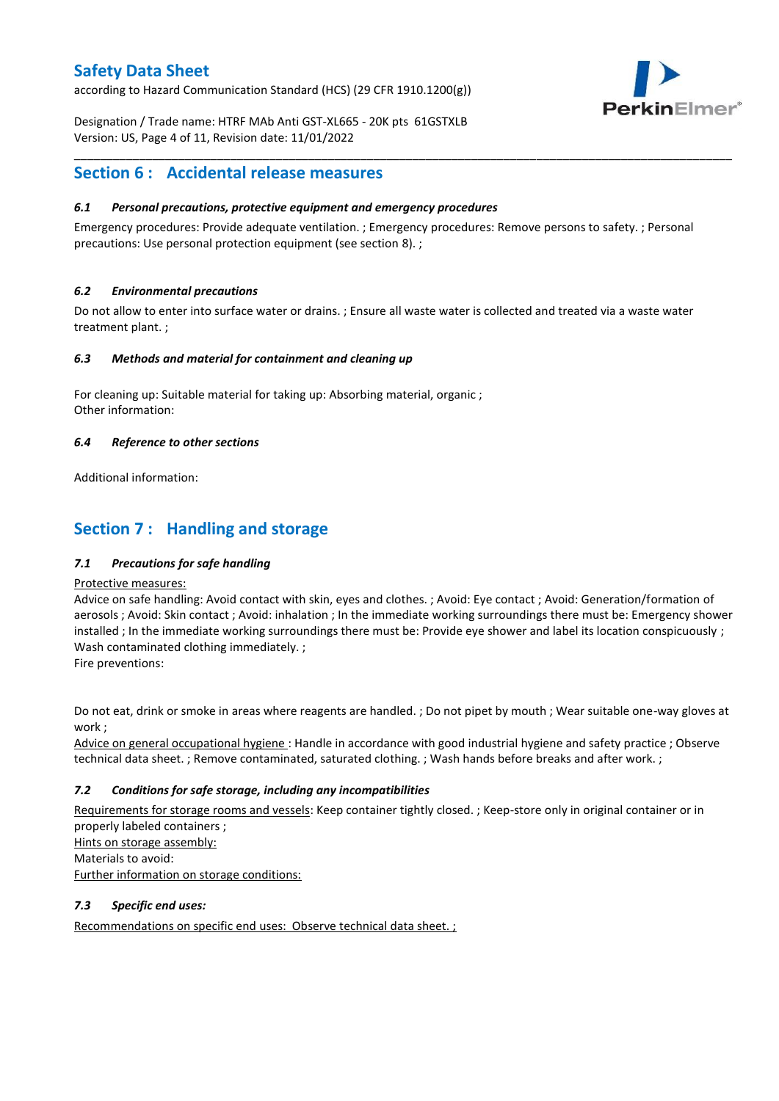according to Hazard Communication Standard (HCS) (29 CFR 1910.1200(g))



Designation / Trade name: HTRF MAb Anti GST-XL665 - 20K pts 61GSTXLB Version: US, Page 4 of 11, Revision date: 11/01/2022

### **Section 6 : Accidental release measures**

#### *6.1 Personal precautions, protective equipment and emergency procedures*

Emergency procedures: Provide adequate ventilation. ; Emergency procedures: Remove persons to safety. ; Personal precautions: Use personal protection equipment (see section 8). ;

\_\_\_\_\_\_\_\_\_\_\_\_\_\_\_\_\_\_\_\_\_\_\_\_\_\_\_\_\_\_\_\_\_\_\_\_\_\_\_\_\_\_\_\_\_\_\_\_\_\_\_\_\_\_\_\_\_\_\_\_\_\_\_\_\_\_\_\_\_\_\_\_\_\_\_\_\_\_\_\_\_\_\_\_\_\_\_\_\_\_\_\_\_\_\_\_\_\_\_\_\_

#### *6.2 Environmental precautions*

Do not allow to enter into surface water or drains. ; Ensure all waste water is collected and treated via a waste water treatment plant. ;

#### *6.3 Methods and material for containment and cleaning up*

For cleaning up: Suitable material for taking up: Absorbing material, organic ; Other information:

#### *6.4 Reference to other sections*

Additional information:

## **Section 7 : Handling and storage**

### *7.1 Precautions for safe handling*

#### Protective measures:

Advice on safe handling: Avoid contact with skin, eyes and clothes. ; Avoid: Eye contact ; Avoid: Generation/formation of aerosols ; Avoid: Skin contact ; Avoid: inhalation ; In the immediate working surroundings there must be: Emergency shower installed ; In the immediate working surroundings there must be: Provide eye shower and label its location conspicuously ; Wash contaminated clothing immediately. ;

Fire preventions:

Do not eat, drink or smoke in areas where reagents are handled. ; Do not pipet by mouth ; Wear suitable one-way gloves at work ;

Advice on general occupational hygiene : Handle in accordance with good industrial hygiene and safety practice ; Observe technical data sheet. ; Remove contaminated, saturated clothing. ; Wash hands before breaks and after work. ;

### *7.2 Conditions for safe storage, including any incompatibilities*

Requirements for storage rooms and vessels: Keep container tightly closed. ; Keep-store only in original container or in properly labeled containers ; Hints on storage assembly: Materials to avoid: Further information on storage conditions:

### *7.3 Specific end uses:*

Recommendations on specific end uses: Observe technical data sheet. ;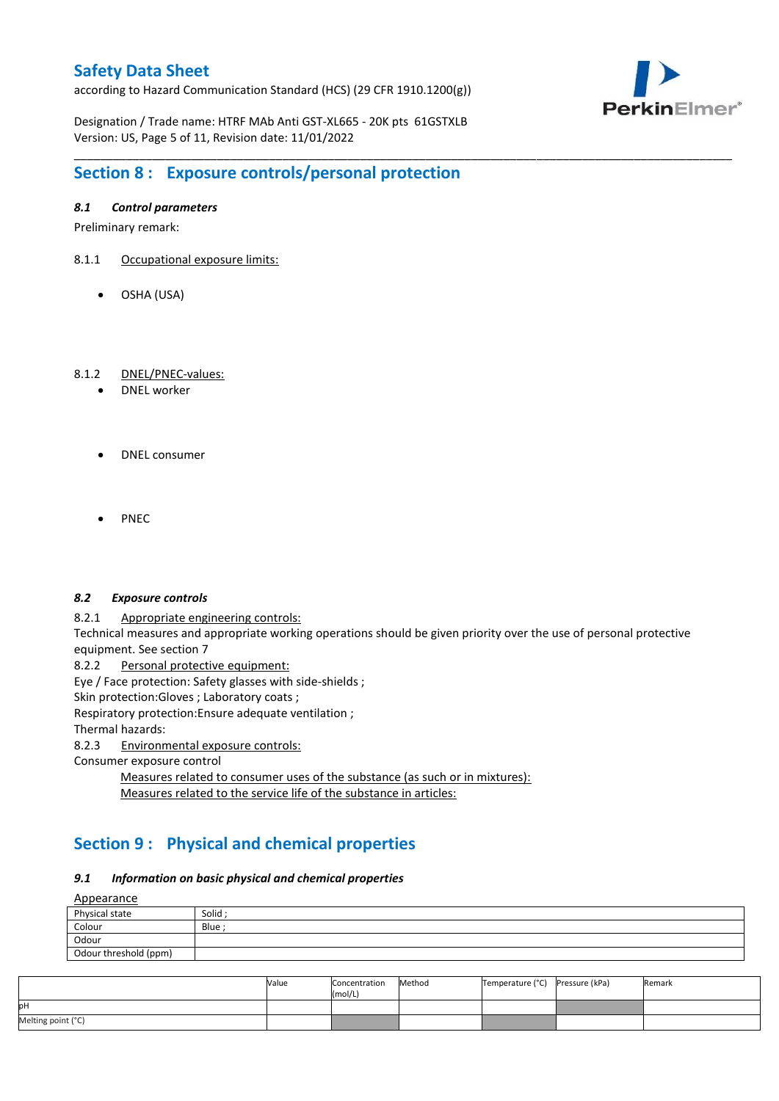according to Hazard Communication Standard (HCS) (29 CFR 1910.1200(g))



Designation / Trade name: HTRF MAb Anti GST-XL665 - 20K pts 61GSTXLB Version: US, Page 5 of 11, Revision date: 11/01/2022

## **Section 8 : Exposure controls/personal protection**

#### *8.1 Control parameters*

Preliminary remark:

- 8.1.1 Occupational exposure limits:
	- OSHA (USA)

#### 8.1.2 DNEL/PNEC-values:

- DNEL worker
- DNEL consumer
- PNEC

#### *8.2 Exposure controls*

8.2.1 Appropriate engineering controls:

Technical measures and appropriate working operations should be given priority over the use of personal protective equipment. See section 7

\_\_\_\_\_\_\_\_\_\_\_\_\_\_\_\_\_\_\_\_\_\_\_\_\_\_\_\_\_\_\_\_\_\_\_\_\_\_\_\_\_\_\_\_\_\_\_\_\_\_\_\_\_\_\_\_\_\_\_\_\_\_\_\_\_\_\_\_\_\_\_\_\_\_\_\_\_\_\_\_\_\_\_\_\_\_\_\_\_\_\_\_\_\_\_\_\_\_\_\_\_

8.2.2 Personal protective equipment:

Eye / Face protection: Safety glasses with side-shields ;

Skin protection: Gloves ; Laboratory coats ;

Respiratory protection:Ensure adequate ventilation ;

Thermal hazards:

8.2.3 Environmental exposure controls:

Consumer exposure control

Measures related to consumer uses of the substance (as such or in mixtures): Measures related to the service life of the substance in articles:

## **Section 9 : Physical and chemical properties**

#### *9.1 Information on basic physical and chemical properties*

Appearance

| <u>Appearance</u>     |         |
|-----------------------|---------|
| Physical state        | Solid ; |
| Colour                | Blue    |
| Odour                 |         |
| Odour threshold (ppm) |         |

|                    | Value | Concentration<br>(mol/L) | Method | Temperature (°C) | Pressure (kPa) | Remark |
|--------------------|-------|--------------------------|--------|------------------|----------------|--------|
| pН                 |       |                          |        |                  |                |        |
| Melting point (°C) |       |                          |        |                  |                |        |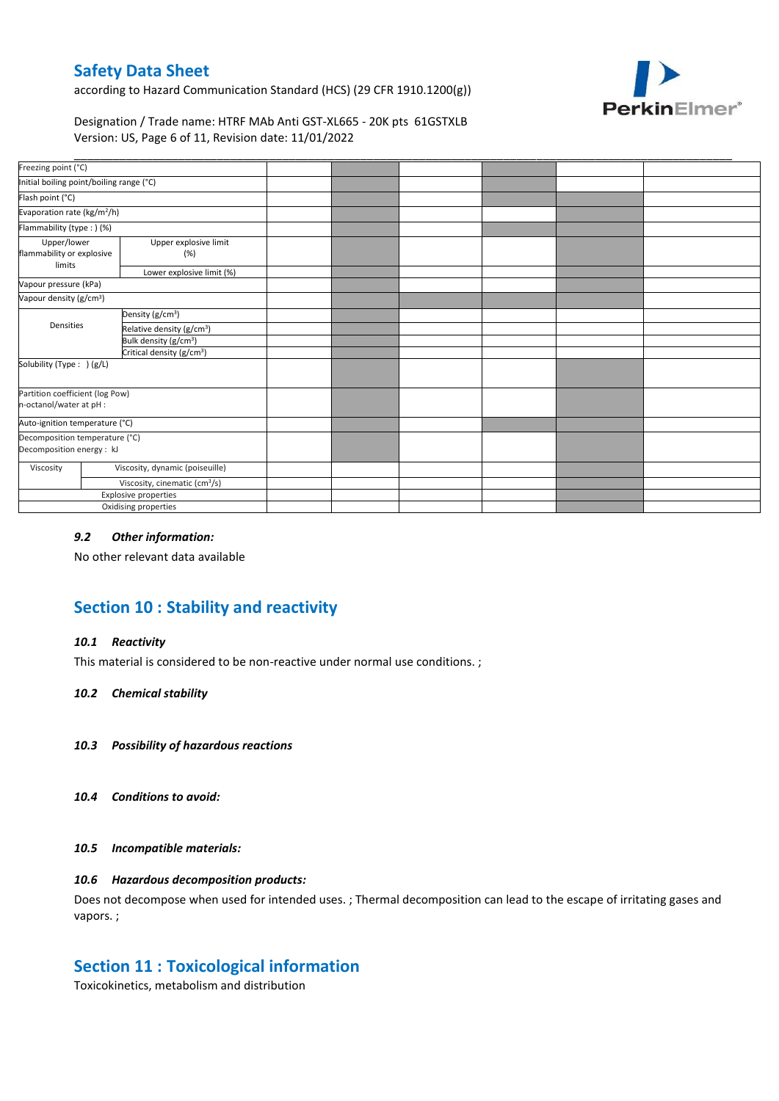according to Hazard Communication Standard (HCS) (29 CFR 1910.1200(g))



### Designation / Trade name: HTRF MAb Anti GST-XL665 - 20K pts 61GSTXLB Version: US, Page 6 of 11, Revision date: 11/01/2022

| Freezing point (°C)<br>Initial boiling point/boiling range (°C)<br>Evaporation rate (kg/m <sup>2</sup> /h)<br>Flammability (type: ) (%)<br>Upper explosive limit<br>Upper/lower<br>(%)<br>limits<br>Lower explosive limit (%)<br>Vapour pressure (kPa)<br>Density (g/cm <sup>3</sup> )<br>Densities<br>Relative density (g/cm <sup>3</sup> )<br>Bulk density (g/cm <sup>3</sup> )<br>Critical density (g/cm <sup>3</sup> )<br>Solubility (Type: ) (g/L)<br>Viscosity, dynamic (poiseuille)<br>Viscosity<br>Viscosity, cinematic (cm <sup>3</sup> /s)<br><b>Explosive properties</b> |                                                             |                      |  |  |  |
|-------------------------------------------------------------------------------------------------------------------------------------------------------------------------------------------------------------------------------------------------------------------------------------------------------------------------------------------------------------------------------------------------------------------------------------------------------------------------------------------------------------------------------------------------------------------------------------|-------------------------------------------------------------|----------------------|--|--|--|
|                                                                                                                                                                                                                                                                                                                                                                                                                                                                                                                                                                                     |                                                             |                      |  |  |  |
|                                                                                                                                                                                                                                                                                                                                                                                                                                                                                                                                                                                     |                                                             |                      |  |  |  |
|                                                                                                                                                                                                                                                                                                                                                                                                                                                                                                                                                                                     | Flash point (°C)                                            |                      |  |  |  |
|                                                                                                                                                                                                                                                                                                                                                                                                                                                                                                                                                                                     |                                                             |                      |  |  |  |
|                                                                                                                                                                                                                                                                                                                                                                                                                                                                                                                                                                                     |                                                             |                      |  |  |  |
|                                                                                                                                                                                                                                                                                                                                                                                                                                                                                                                                                                                     | flammability or explosive                                   |                      |  |  |  |
|                                                                                                                                                                                                                                                                                                                                                                                                                                                                                                                                                                                     |                                                             |                      |  |  |  |
|                                                                                                                                                                                                                                                                                                                                                                                                                                                                                                                                                                                     |                                                             |                      |  |  |  |
|                                                                                                                                                                                                                                                                                                                                                                                                                                                                                                                                                                                     | Vapour density (g/cm <sup>3</sup> )                         |                      |  |  |  |
|                                                                                                                                                                                                                                                                                                                                                                                                                                                                                                                                                                                     |                                                             |                      |  |  |  |
|                                                                                                                                                                                                                                                                                                                                                                                                                                                                                                                                                                                     |                                                             |                      |  |  |  |
|                                                                                                                                                                                                                                                                                                                                                                                                                                                                                                                                                                                     |                                                             |                      |  |  |  |
|                                                                                                                                                                                                                                                                                                                                                                                                                                                                                                                                                                                     |                                                             |                      |  |  |  |
|                                                                                                                                                                                                                                                                                                                                                                                                                                                                                                                                                                                     |                                                             |                      |  |  |  |
|                                                                                                                                                                                                                                                                                                                                                                                                                                                                                                                                                                                     | Partition coefficient (log Pow)<br>n-octanol/water at pH :  |                      |  |  |  |
|                                                                                                                                                                                                                                                                                                                                                                                                                                                                                                                                                                                     | Auto-ignition temperature (°C)                              |                      |  |  |  |
|                                                                                                                                                                                                                                                                                                                                                                                                                                                                                                                                                                                     | Decomposition temperature (°C)<br>Decomposition energy : kJ |                      |  |  |  |
|                                                                                                                                                                                                                                                                                                                                                                                                                                                                                                                                                                                     |                                                             |                      |  |  |  |
|                                                                                                                                                                                                                                                                                                                                                                                                                                                                                                                                                                                     |                                                             |                      |  |  |  |
|                                                                                                                                                                                                                                                                                                                                                                                                                                                                                                                                                                                     |                                                             |                      |  |  |  |
|                                                                                                                                                                                                                                                                                                                                                                                                                                                                                                                                                                                     |                                                             | Oxidising properties |  |  |  |

### *9.2 Other information:*

No other relevant data available

# **Section 10 : Stability and reactivity**

#### *10.1 Reactivity*

This material is considered to be non-reactive under normal use conditions. ;

#### *10.2 Chemical stability*

- *10.3 Possibility of hazardous reactions*
- *10.4 Conditions to avoid:*

#### *10.5 Incompatible materials:*

#### *10.6 Hazardous decomposition products:*

Does not decompose when used for intended uses. ; Thermal decomposition can lead to the escape of irritating gases and vapors. ;

### **Section 11 : Toxicological information**

Toxicokinetics, metabolism and distribution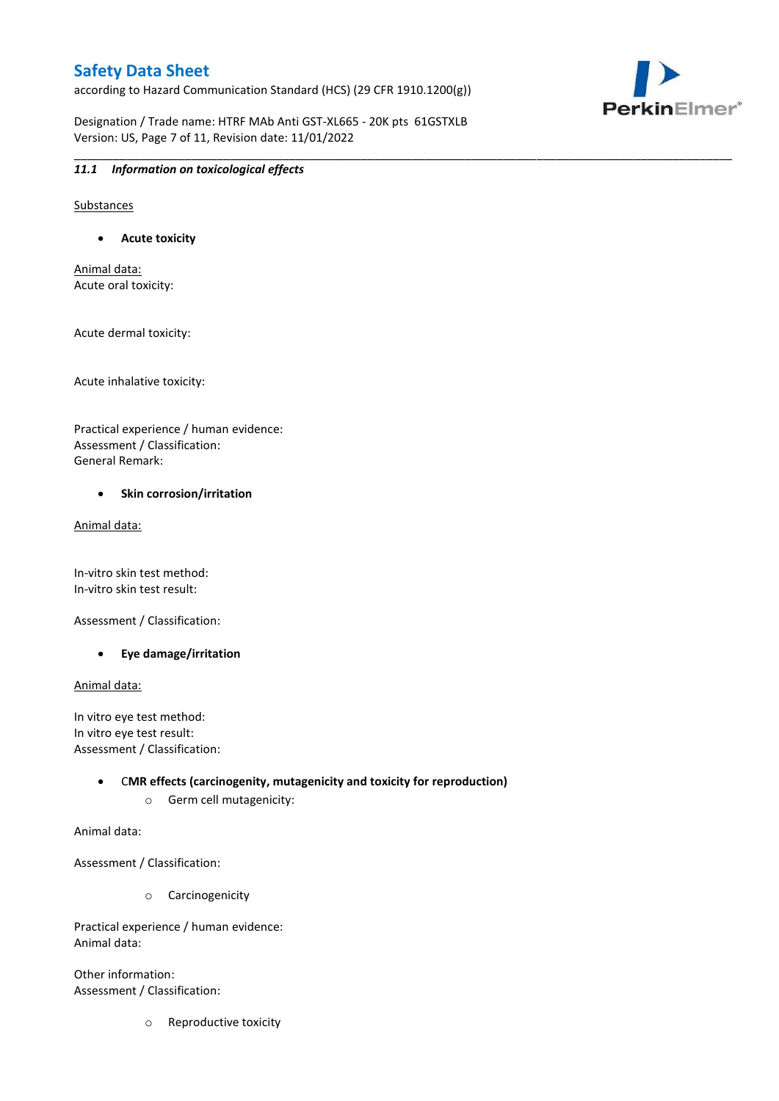according to Hazard Communication Standard (HCS) (29 CFR 1910.1200(g))

Designation / Trade name: HTRF MAb Anti GST-XL665 - 20K pts 61GSTXLB Version: US, Page 7 of 11, Revision date: 11/01/2022

\_\_\_\_\_\_\_\_\_\_\_\_\_\_\_\_\_\_\_\_\_\_\_\_\_\_\_\_\_\_\_\_\_\_\_\_\_\_\_\_\_\_\_\_\_\_\_\_\_\_\_\_\_\_\_\_\_\_\_\_\_\_\_\_\_\_\_\_\_\_\_\_\_\_\_\_\_\_\_\_\_\_\_\_\_\_\_\_\_\_\_\_\_\_\_\_\_\_\_\_\_



#### *11.1 Information on toxicological effects*

Substances

**Acute toxicity**

Animal data: Acute oral toxicity:

Acute dermal toxicity:

Acute inhalative toxicity:

Practical experience / human evidence: Assessment / Classification: General Remark:

#### **•** Skin corrosion/irritation

Animal data:

In-vitro skin test method: In-vitro skin test result:

Assessment / Classification:

**Eye damage/irritation**

Animal data:

In vitro eye test method: In vitro eye test result: Assessment / Classification:

> C**MR effects (carcinogenity, mutagenicity and toxicity for reproduction)** o Germ cell mutagenicity:

Animal data:

Assessment / Classification:

o Carcinogenicity

Practical experience / human evidence: Animal data:

Other information: Assessment / Classification:

o Reproductive toxicity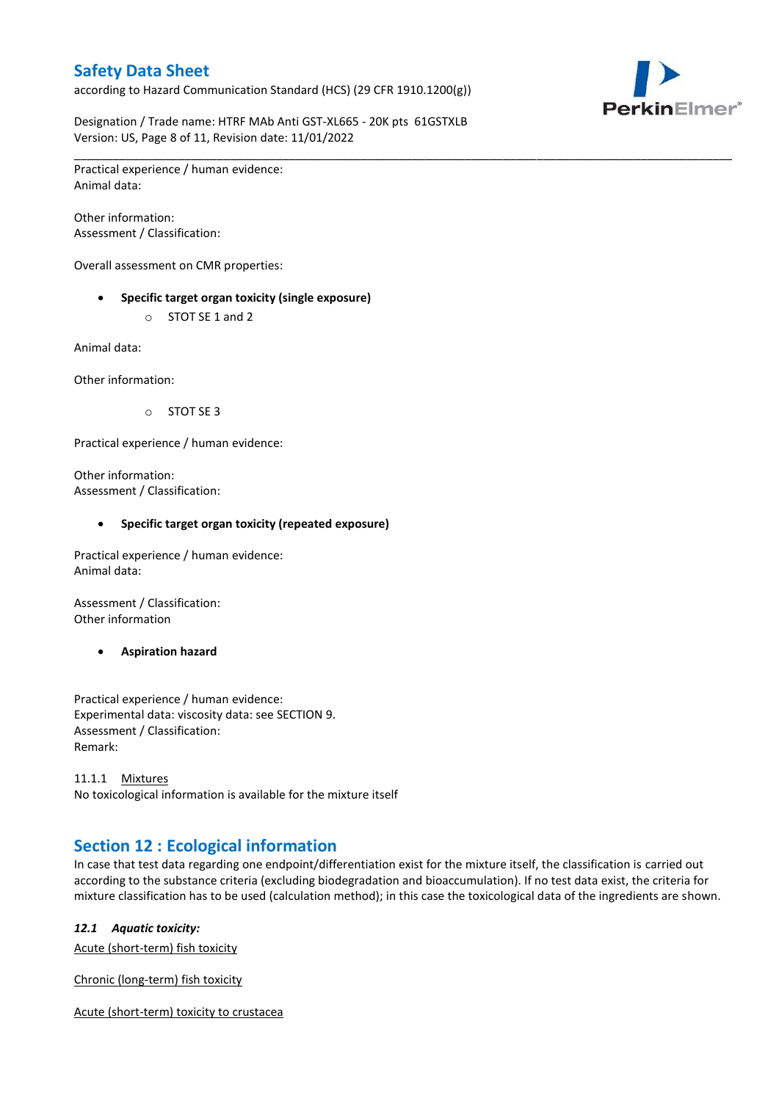according to Hazard Communication Standard (HCS) (29 CFR 1910.1200(g))



Designation / Trade name: HTRF MAb Anti GST-XL665 - 20K pts 61GSTXLB Version: US, Page 8 of 11, Revision date: 11/01/2022

\_\_\_\_\_\_\_\_\_\_\_\_\_\_\_\_\_\_\_\_\_\_\_\_\_\_\_\_\_\_\_\_\_\_\_\_\_\_\_\_\_\_\_\_\_\_\_\_\_\_\_\_\_\_\_\_\_\_\_\_\_\_\_\_\_\_\_\_\_\_\_\_\_\_\_\_\_\_\_\_\_\_\_\_\_\_\_\_\_\_\_\_\_\_\_\_\_\_\_\_\_ Practical experience / human evidence: Animal data:

Other information: Assessment / Classification:

Overall assessment on CMR properties:

- **Specific target organ toxicity (single exposure)**
	- o STOT SE 1 and 2

Animal data:

Other information:

o STOT SE 3

Practical experience / human evidence:

Other information: Assessment / Classification:

#### **Specific target organ toxicity (repeated exposure)**

Practical experience / human evidence: Animal data:

Assessment / Classification: Other information

**Aspiration hazard**

Practical experience / human evidence: Experimental data: viscosity data: see SECTION 9. Assessment / Classification: Remark:

11.1.1 Mixtures No toxicological information is available for the mixture itself

## **Section 12 : Ecological information**

In case that test data regarding one endpoint/differentiation exist for the mixture itself, the classification is carried out according to the substance criteria (excluding biodegradation and bioaccumulation). If no test data exist, the criteria for mixture classification has to be used (calculation method); in this case the toxicological data of the ingredients are shown.

#### *12.1 Aquatic toxicity:*

Acute (short-term) fish toxicity

Chronic (long-term) fish toxicity

Acute (short-term) toxicity to crustacea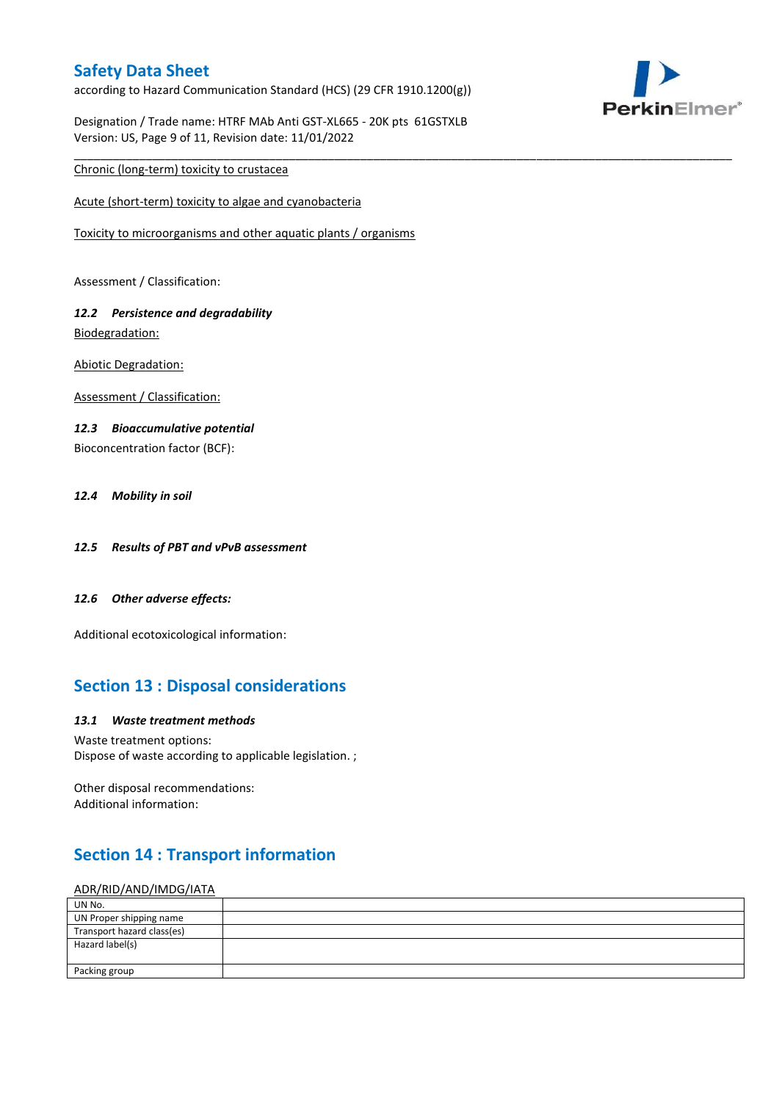according to Hazard Communication Standard (HCS) (29 CFR 1910.1200(g))

Designation / Trade name: HTRF MAb Anti GST-XL665 - 20K pts 61GSTXLB Version: US, Page 9 of 11, Revision date: 11/01/2022

\_\_\_\_\_\_\_\_\_\_\_\_\_\_\_\_\_\_\_\_\_\_\_\_\_\_\_\_\_\_\_\_\_\_\_\_\_\_\_\_\_\_\_\_\_\_\_\_\_\_\_\_\_\_\_\_\_\_\_\_\_\_\_\_\_\_\_\_\_\_\_\_\_\_\_\_\_\_\_\_\_\_\_\_\_\_\_\_\_\_\_\_\_\_\_\_\_\_\_\_\_



Chronic (long-term) toxicity to crustacea

Acute (short-term) toxicity to algae and cyanobacteria

Toxicity to microorganisms and other aquatic plants / organisms

Assessment / Classification:

### *12.2 Persistence and degradability* Biodegradation:

Abiotic Degradation:

Assessment / Classification:

#### *12.3 Bioaccumulative potential*

Bioconcentration factor (BCF):

#### *12.4 Mobility in soil*

- *12.5 Results of PBT and vPvB assessment*
- *12.6 Other adverse effects:*

Additional ecotoxicological information:

## **Section 13 : Disposal considerations**

#### *13.1 Waste treatment methods*

Waste treatment options: Dispose of waste according to applicable legislation. ;

Other disposal recommendations: Additional information:

## **Section 14 : Transport information**

#### ADR/RID/AND/IMDG/IATA

| UN No.                     |  |
|----------------------------|--|
| UN Proper shipping name    |  |
| Transport hazard class(es) |  |
| Hazard label(s)            |  |
|                            |  |
| Packing group              |  |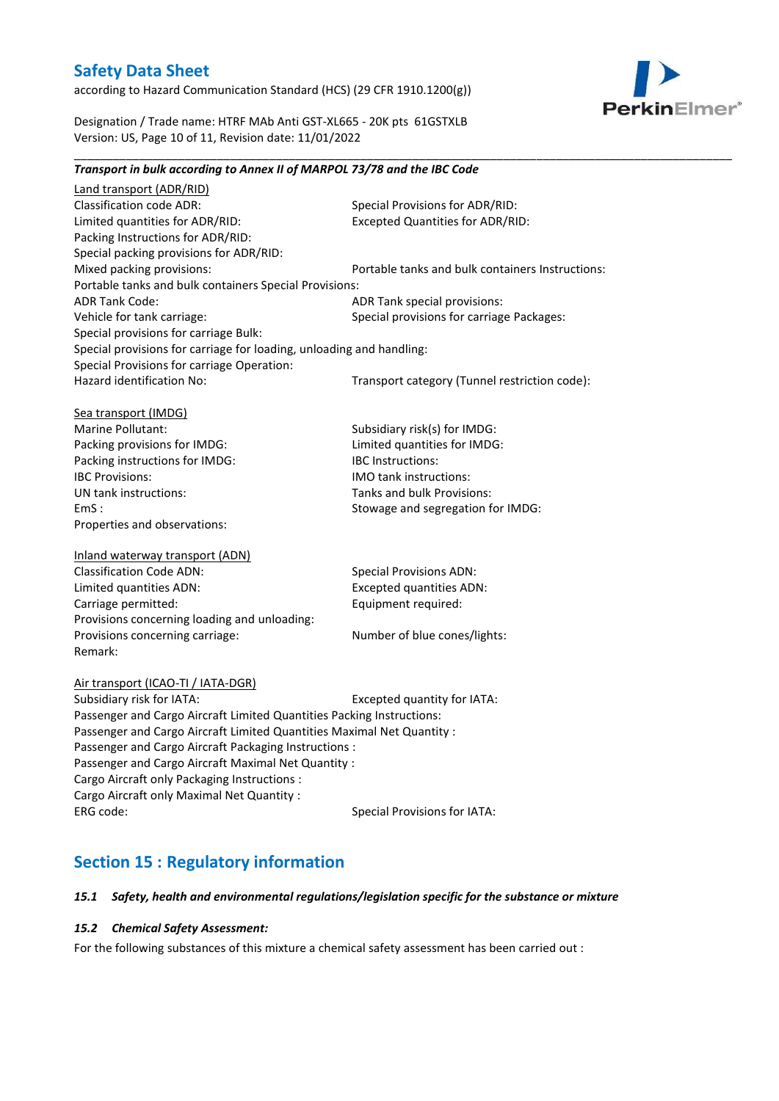according to Hazard Communication Standard (HCS) (29 CFR 1910.1200(g))



Designation / Trade name: HTRF MAb Anti GST-XL665 - 20K pts 61GSTXLB Version: US, Page 10 of 11, Revision date: 11/01/2022

\_\_\_\_\_\_\_\_\_\_\_\_\_\_\_\_\_\_\_\_\_\_\_\_\_\_\_\_\_\_\_\_\_\_\_\_\_\_\_\_\_\_\_\_\_\_\_\_\_\_\_\_\_\_\_\_\_\_\_\_\_\_\_\_\_\_\_\_\_\_\_\_\_\_\_\_\_\_\_\_\_\_\_\_\_\_\_\_\_\_\_\_\_\_\_\_\_\_\_\_\_

| Transport in bulk according to Annex II of MARPOL 73/78 and the IBC Code |                                                  |
|--------------------------------------------------------------------------|--------------------------------------------------|
| Land transport (ADR/RID)                                                 |                                                  |
| <b>Classification code ADR:</b>                                          | Special Provisions for ADR/RID:                  |
| Limited quantities for ADR/RID:                                          | <b>Excepted Quantities for ADR/RID:</b>          |
| Packing Instructions for ADR/RID:                                        |                                                  |
| Special packing provisions for ADR/RID:                                  |                                                  |
| Mixed packing provisions:                                                | Portable tanks and bulk containers Instructions: |
| Portable tanks and bulk containers Special Provisions:                   |                                                  |
| <b>ADR Tank Code:</b>                                                    | ADR Tank special provisions:                     |
| Vehicle for tank carriage:                                               | Special provisions for carriage Packages:        |
| Special provisions for carriage Bulk:                                    |                                                  |
| Special provisions for carriage for loading, unloading and handling:     |                                                  |
| Special Provisions for carriage Operation:                               |                                                  |
| Hazard identification No:                                                | Transport category (Tunnel restriction code):    |
| Sea transport (IMDG)                                                     |                                                  |
| Marine Pollutant:                                                        | Subsidiary risk(s) for IMDG:                     |
| Packing provisions for IMDG:                                             | Limited quantities for IMDG:                     |
| Packing instructions for IMDG:                                           | <b>IBC Instructions:</b>                         |
| <b>IBC Provisions:</b>                                                   | <b>IMO</b> tank instructions:                    |
| UN tank instructions:                                                    | Tanks and bulk Provisions:                       |
| EmS:                                                                     | Stowage and segregation for IMDG:                |
| Properties and observations:                                             |                                                  |
| Inland waterway transport (ADN)                                          |                                                  |
| <b>Classification Code ADN:</b>                                          | <b>Special Provisions ADN:</b>                   |
| Limited quantities ADN:                                                  | <b>Excepted quantities ADN:</b>                  |
| Carriage permitted:                                                      | Equipment required:                              |
| Provisions concerning loading and unloading:                             |                                                  |
| Provisions concerning carriage:                                          | Number of blue cones/lights:                     |
| Remark:                                                                  |                                                  |
| Air transport (ICAO-TI / IATA-DGR)                                       |                                                  |
| Subsidiary risk for IATA:                                                | Excepted quantity for IATA:                      |
| Passenger and Cargo Aircraft Limited Quantities Packing Instructions:    |                                                  |
| Passenger and Cargo Aircraft Limited Quantities Maximal Net Quantity :   |                                                  |
| Passenger and Cargo Aircraft Packaging Instructions :                    |                                                  |
| Passenger and Cargo Aircraft Maximal Net Quantity :                      |                                                  |
| Cargo Aircraft only Packaging Instructions :                             |                                                  |
| Cargo Aircraft only Maximal Net Quantity :                               |                                                  |
| ERG code:                                                                | <b>Special Provisions for IATA:</b>              |
|                                                                          |                                                  |

# **Section 15 : Regulatory information**

### *15.1 Safety, health and environmental regulations/legislation specific for the substance or mixture*

#### *15.2 Chemical Safety Assessment:*

For the following substances of this mixture a chemical safety assessment has been carried out :